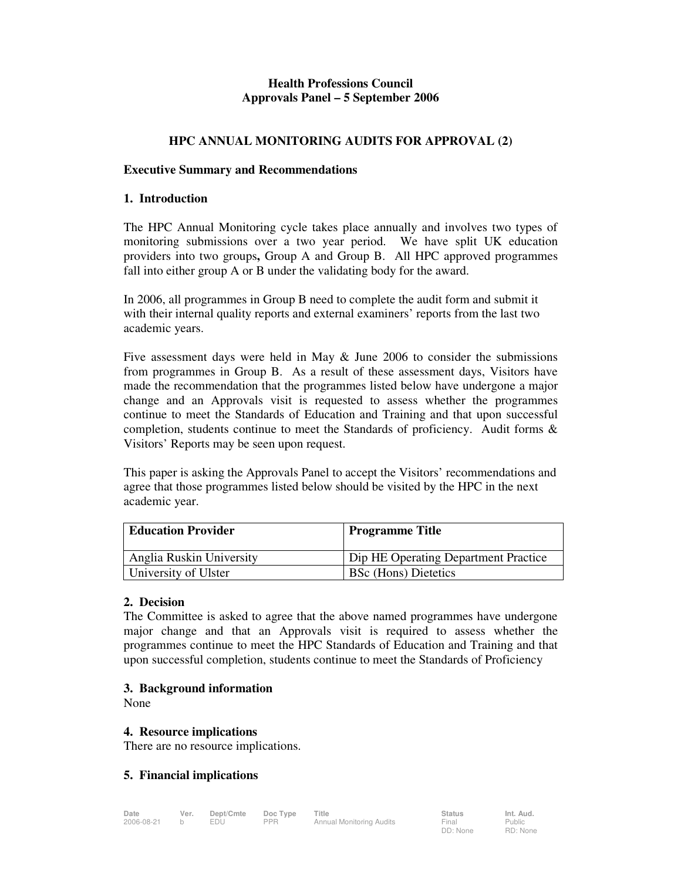# **Health Professions Council Approvals Panel – 5 September 2006**

# **HPC ANNUAL MONITORING AUDITS FOR APPROVAL (2)**

#### **Executive Summary and Recommendations**

#### **1. Introduction**

The HPC Annual Monitoring cycle takes place annually and involves two types of monitoring submissions over a two year period. We have split UK education providers into two groups**,** Group A and Group B. All HPC approved programmes fall into either group A or B under the validating body for the award.

In 2006, all programmes in Group B need to complete the audit form and submit it with their internal quality reports and external examiners' reports from the last two academic years.

Five assessment days were held in May & June 2006 to consider the submissions from programmes in Group B. As a result of these assessment days, Visitors have made the recommendation that the programmes listed below have undergone a major change and an Approvals visit is requested to assess whether the programmes continue to meet the Standards of Education and Training and that upon successful completion, students continue to meet the Standards of proficiency. Audit forms & Visitors' Reports may be seen upon request.

This paper is asking the Approvals Panel to accept the Visitors' recommendations and agree that those programmes listed below should be visited by the HPC in the next academic year.

| <b>Education Provider</b> | Programme Title                      |
|---------------------------|--------------------------------------|
| Anglia Ruskin University  | Dip HE Operating Department Practice |
| University of Ulster      | <b>BSc</b> (Hons) Dietetics          |

### **2. Decision**

The Committee is asked to agree that the above named programmes have undergone major change and that an Approvals visit is required to assess whether the programmes continue to meet the HPC Standards of Education and Training and that upon successful completion, students continue to meet the Standards of Proficiency

### **3. Background information**

None

### **4. Resource implications**

There are no resource implications.

### **5. Financial implications**